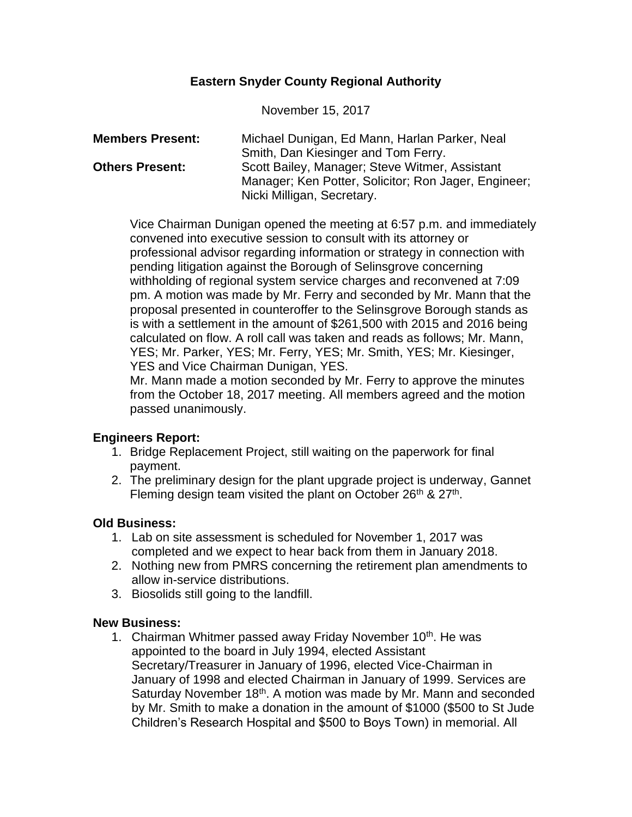# **Eastern Snyder County Regional Authority**

November 15, 2017

| <b>Members Present:</b> | Michael Dunigan, Ed Mann, Harlan Parker, Neal        |
|-------------------------|------------------------------------------------------|
|                         | Smith, Dan Kiesinger and Tom Ferry.                  |
| <b>Others Present:</b>  | Scott Bailey, Manager; Steve Witmer, Assistant       |
|                         | Manager; Ken Potter, Solicitor; Ron Jager, Engineer; |
|                         | Nicki Milligan, Secretary.                           |

Vice Chairman Dunigan opened the meeting at 6:57 p.m. and immediately convened into executive session to consult with its attorney or professional advisor regarding information or strategy in connection with pending litigation against the Borough of Selinsgrove concerning withholding of regional system service charges and reconvened at 7:09 pm. A motion was made by Mr. Ferry and seconded by Mr. Mann that the proposal presented in counteroffer to the Selinsgrove Borough stands as is with a settlement in the amount of \$261,500 with 2015 and 2016 being calculated on flow. A roll call was taken and reads as follows; Mr. Mann, YES; Mr. Parker, YES; Mr. Ferry, YES; Mr. Smith, YES; Mr. Kiesinger, YES and Vice Chairman Dunigan, YES.

Mr. Mann made a motion seconded by Mr. Ferry to approve the minutes from the October 18, 2017 meeting. All members agreed and the motion passed unanimously.

## **Engineers Report:**

- 1. Bridge Replacement Project, still waiting on the paperwork for final payment.
- 2. The preliminary design for the plant upgrade project is underway, Gannet Fleming design team visited the plant on October 26<sup>th</sup> & 27<sup>th</sup>.

## **Old Business:**

- 1. Lab on site assessment is scheduled for November 1, 2017 was completed and we expect to hear back from them in January 2018.
- 2. Nothing new from PMRS concerning the retirement plan amendments to allow in-service distributions.
- 3. Biosolids still going to the landfill.

## **New Business:**

1. Chairman Whitmer passed away Friday November 10<sup>th</sup>. He was appointed to the board in July 1994, elected Assistant Secretary/Treasurer in January of 1996, elected Vice-Chairman in January of 1998 and elected Chairman in January of 1999. Services are Saturday November 18<sup>th</sup>. A motion was made by Mr. Mann and seconded by Mr. Smith to make a donation in the amount of \$1000 (\$500 to St Jude Children's Research Hospital and \$500 to Boys Town) in memorial. All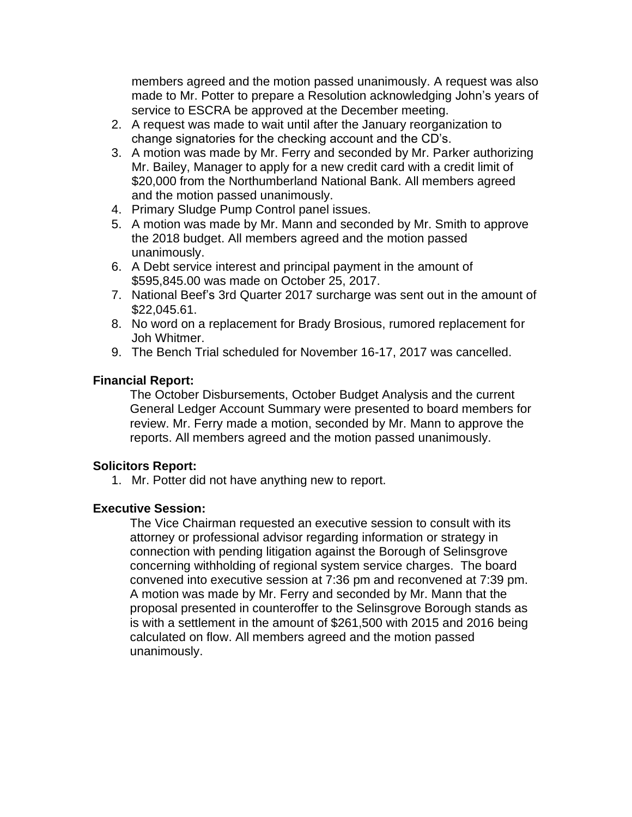members agreed and the motion passed unanimously. A request was also made to Mr. Potter to prepare a Resolution acknowledging John's years of service to ESCRA be approved at the December meeting.

- 2. A request was made to wait until after the January reorganization to change signatories for the checking account and the CD's.
- 3. A motion was made by Mr. Ferry and seconded by Mr. Parker authorizing Mr. Bailey, Manager to apply for a new credit card with a credit limit of \$20,000 from the Northumberland National Bank. All members agreed and the motion passed unanimously.
- 4. Primary Sludge Pump Control panel issues.
- 5. A motion was made by Mr. Mann and seconded by Mr. Smith to approve the 2018 budget. All members agreed and the motion passed unanimously.
- 6. A Debt service interest and principal payment in the amount of \$595,845.00 was made on October 25, 2017.
- 7. National Beef's 3rd Quarter 2017 surcharge was sent out in the amount of \$22,045.61.
- 8. No word on a replacement for Brady Brosious, rumored replacement for Joh Whitmer.
- 9. The Bench Trial scheduled for November 16-17, 2017 was cancelled.

# **Financial Report:**

The October Disbursements, October Budget Analysis and the current General Ledger Account Summary were presented to board members for review. Mr. Ferry made a motion, seconded by Mr. Mann to approve the reports. All members agreed and the motion passed unanimously.

## **Solicitors Report:**

1. Mr. Potter did not have anything new to report.

# **Executive Session:**

The Vice Chairman requested an executive session to consult with its attorney or professional advisor regarding information or strategy in connection with pending litigation against the Borough of Selinsgrove concerning withholding of regional system service charges. The board convened into executive session at 7:36 pm and reconvened at 7:39 pm. A motion was made by Mr. Ferry and seconded by Mr. Mann that the proposal presented in counteroffer to the Selinsgrove Borough stands as is with a settlement in the amount of \$261,500 with 2015 and 2016 being calculated on flow. All members agreed and the motion passed unanimously.